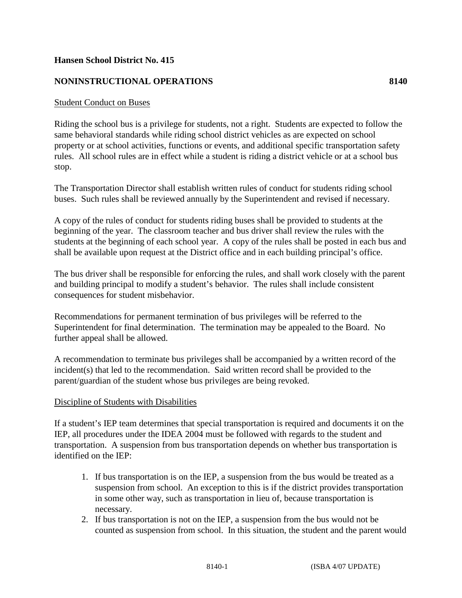## **Hansen School District No. 415**

## **NONINSTRUCTIONAL OPERATIONS 8140**

## Student Conduct on Buses

Riding the school bus is a privilege for students, not a right. Students are expected to follow the same behavioral standards while riding school district vehicles as are expected on school property or at school activities, functions or events, and additional specific transportation safety rules. All school rules are in effect while a student is riding a district vehicle or at a school bus stop.

The Transportation Director shall establish written rules of conduct for students riding school buses. Such rules shall be reviewed annually by the Superintendent and revised if necessary.

A copy of the rules of conduct for students riding buses shall be provided to students at the beginning of the year. The classroom teacher and bus driver shall review the rules with the students at the beginning of each school year. A copy of the rules shall be posted in each bus and shall be available upon request at the District office and in each building principal's office.

The bus driver shall be responsible for enforcing the rules, and shall work closely with the parent and building principal to modify a student's behavior. The rules shall include consistent consequences for student misbehavior.

Recommendations for permanent termination of bus privileges will be referred to the Superintendent for final determination. The termination may be appealed to the Board. No further appeal shall be allowed.

A recommendation to terminate bus privileges shall be accompanied by a written record of the incident(s) that led to the recommendation. Said written record shall be provided to the parent/guardian of the student whose bus privileges are being revoked.

## Discipline of Students with Disabilities

If a student's IEP team determines that special transportation is required and documents it on the IEP, all procedures under the IDEA 2004 must be followed with regards to the student and transportation. A suspension from bus transportation depends on whether bus transportation is identified on the IEP:

- 1. If bus transportation is on the IEP, a suspension from the bus would be treated as a suspension from school. An exception to this is if the district provides transportation in some other way, such as transportation in lieu of, because transportation is necessary.
- 2. If bus transportation is not on the IEP, a suspension from the bus would not be counted as suspension from school. In this situation, the student and the parent would